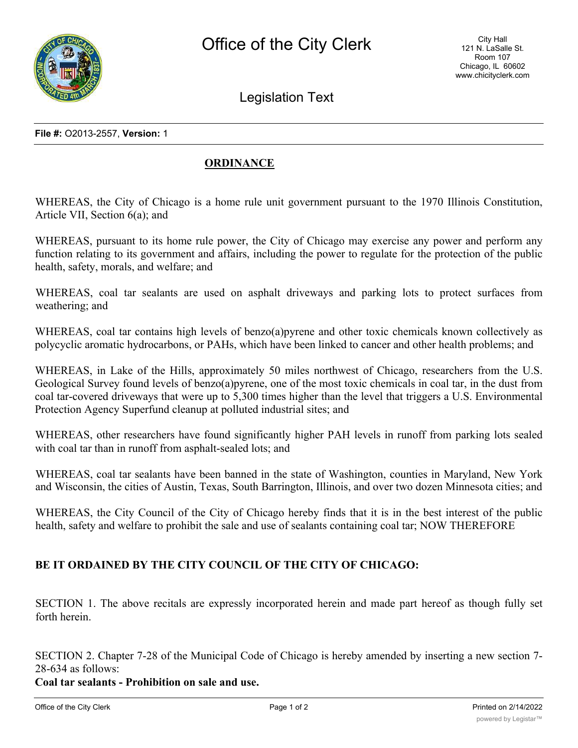

Legislation Text

**File #:** O2013-2557, **Version:** 1

## **ORDINANCE**

WHEREAS, the City of Chicago is a home rule unit government pursuant to the 1970 Illinois Constitution, Article VII, Section 6(a); and

WHEREAS, pursuant to its home rule power, the City of Chicago may exercise any power and perform any function relating to its government and affairs, including the power to regulate for the protection of the public health, safety, morals, and welfare; and

WHEREAS, coal tar sealants are used on asphalt driveways and parking lots to protect surfaces from weathering; and

WHEREAS, coal tar contains high levels of benzo(a)pyrene and other toxic chemicals known collectively as polycyclic aromatic hydrocarbons, or PAHs, which have been linked to cancer and other health problems; and

WHEREAS, in Lake of the Hills, approximately 50 miles northwest of Chicago, researchers from the U.S. Geological Survey found levels of benzo(a)pyrene, one of the most toxic chemicals in coal tar, in the dust from coal tar-covered driveways that were up to 5,300 times higher than the level that triggers a U.S. Environmental Protection Agency Superfund cleanup at polluted industrial sites; and

WHEREAS, other researchers have found significantly higher PAH levels in runoff from parking lots sealed with coal tar than in runoff from asphalt-sealed lots; and

WHEREAS, coal tar sealants have been banned in the state of Washington, counties in Maryland, New York and Wisconsin, the cities of Austin, Texas, South Barrington, Illinois, and over two dozen Minnesota cities; and

WHEREAS, the City Council of the City of Chicago hereby finds that it is in the best interest of the public health, safety and welfare to prohibit the sale and use of sealants containing coal tar; NOW THEREFORE

## **BE IT ORDAINED BY THE CITY COUNCIL OF THE CITY OF CHICAGO:**

SECTION 1. The above recitals are expressly incorporated herein and made part hereof as though fully set forth herein.

SECTION 2. Chapter 7-28 of the Municipal Code of Chicago is hereby amended by inserting a new section 7- 28-634 as follows:

**Coal tar sealants - Prohibition on sale and use.**